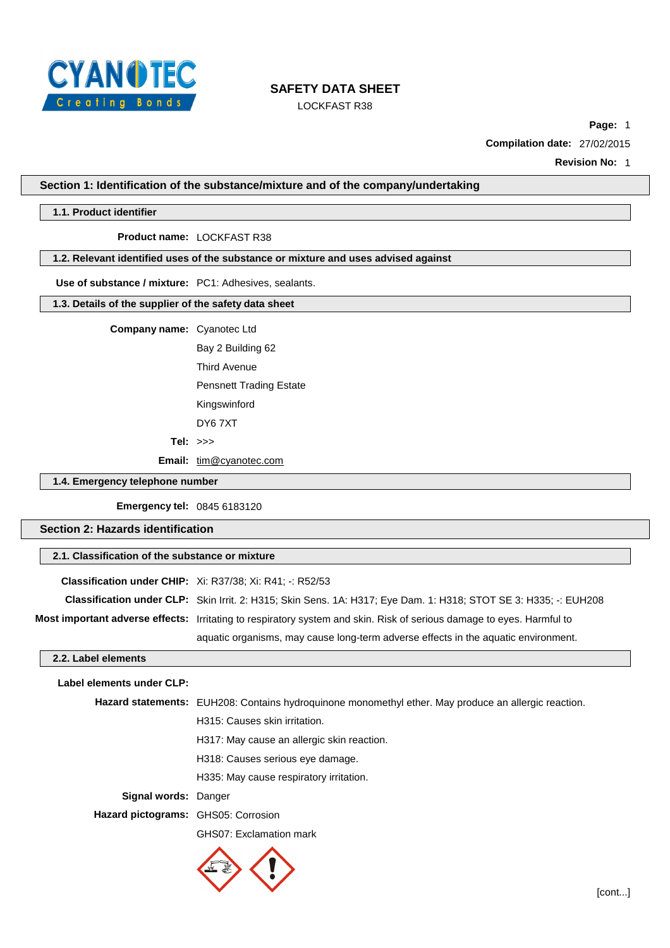

LOCKFAST R38

**Page:** 1

**Compilation date:** 27/02/2015

**Revision No:** 1

**Section 1: Identification of the substance/mixture and of the company/undertaking**

#### **1.1. Product identifier**

#### **Product name:** LOCKFAST R38

### **1.2. Relevant identified uses of the substance or mixture and uses advised against**

**Use of substance / mixture:** PC1: Adhesives, sealants.

### **1.3. Details of the supplier of the safety data sheet**

**Company name:** Cyanotec Ltd

Bay 2 Building 62 Third Avenue Pensnett Trading Estate Kingswinford DY6 7XT **Tel:** >>>

Email: [tim@cyanotec.com](mailto:tim@cyanotec.com)

**1.4. Emergency telephone number**

**Emergency tel:** 0845 6183120

**Section 2: Hazards identification**

## **2.1. Classification of the substance or mixture**

**Classification under CHIP:** Xi: R37/38; Xi: R41; -: R52/53 **Classification under CLP:** Skin Irrit. 2: H315; Skin Sens. 1A: H317; Eye Dam. 1: H318; STOT SE 3: H335; -: EUH208 **Most important adverse effects:** Irritating to respiratory system and skin. Risk of serious damage to eyes. Harmful to aquatic organisms, may cause long-term adverse effects in the aquatic environment.

## **2.2. Label elements**

# **Label elements under CLP: Hazard statements:** EUH208: Contains hydroquinone monomethyl ether. May produce an allergic reaction. H315: Causes skin irritation. H317: May cause an allergic skin reaction. H318: Causes serious eye damage. H335: May cause respiratory irritation. **Signal words:** Danger **Hazard pictograms:** GHS05: Corrosion GHS07: Exclamation mark

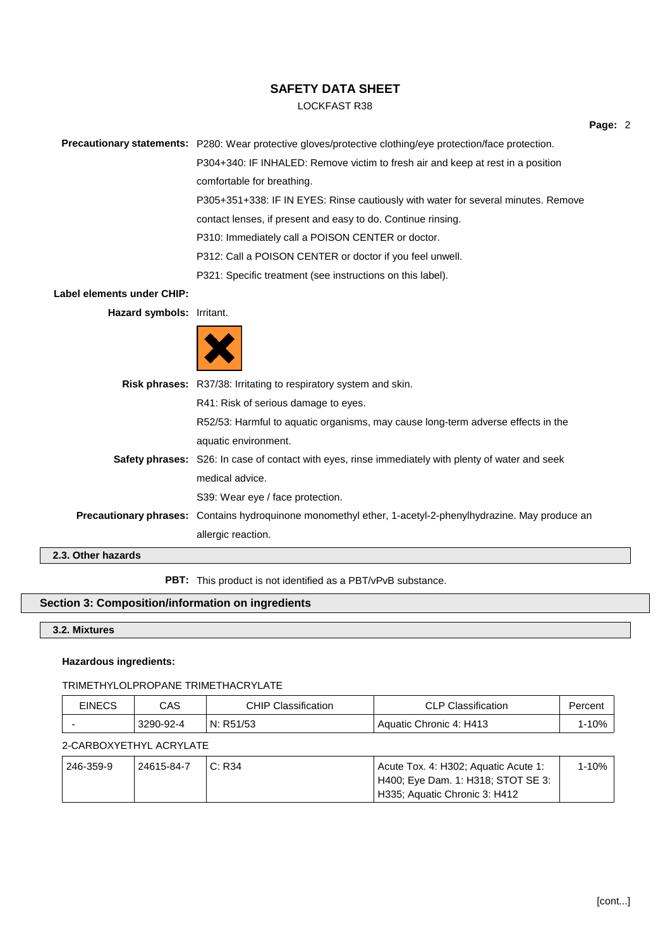## LOCKFAST R38

**Precautionary statements:** P280: Wear protective gloves/protective clothing/eye protection/face protection.

P304+340: IF INHALED: Remove victim to fresh air and keep at rest in a position comfortable for breathing. P305+351+338: IF IN EYES: Rinse cautiously with water for several minutes. Remove contact lenses, if present and easy to do. Continue rinsing.

P310: Immediately call a POISON CENTER or doctor.

P312: Call a POISON CENTER or doctor if you feel unwell.

P321: Specific treatment (see instructions on this label).

### **Label elements under CHIP:**

**Hazard symbols:** Irritant.



|                    | <b>Risk phrases:</b> R37/38: Irritating to respiratory system and skin.                                   |
|--------------------|-----------------------------------------------------------------------------------------------------------|
|                    | R41: Risk of serious damage to eyes.                                                                      |
|                    | R52/53: Harmful to aquatic organisms, may cause long-term adverse effects in the                          |
|                    | aquatic environment.                                                                                      |
|                    | <b>Safety phrases:</b> S26: In case of contact with eyes, rinse immediately with plenty of water and seek |
|                    | medical advice.                                                                                           |
|                    | S39: Wear eye / face protection.                                                                          |
|                    | Precautionary phrases: Contains hydroquinone monomethyl ether, 1-acetyl-2-phenylhydrazine. May produce an |
|                    | allergic reaction.                                                                                        |
| 2.3. Other hazards |                                                                                                           |

**PBT:** This product is not identified as a PBT/vPvB substance.

## **Section 3: Composition/information on ingredients**

**3.2. Mixtures**

### **Hazardous ingredients:**

#### TRIMETHYLOLPROPANE TRIMETHACRYLATE

| <b>EINECS</b> | CAS       | Classification<br>CHIP | <b>CLP Classification</b> | Percent |
|---------------|-----------|------------------------|---------------------------|---------|
|               | 3290-92-4 | N: R51/53              | Aquatic Chronic 4: H413   | 10%     |

## 2-CARBOXYETHYL ACRYLATE

| 246-359-9 | 24615-84-7 | C: R34 | Acute Tox. 4: H302; Aguatic Acute 1: | $1 - 10\%$ |
|-----------|------------|--------|--------------------------------------|------------|
|           |            |        | ' H400: Eye Dam. 1: H318: STOT SE 3: |            |
|           |            |        | H335; Aquatic Chronic 3: H412        |            |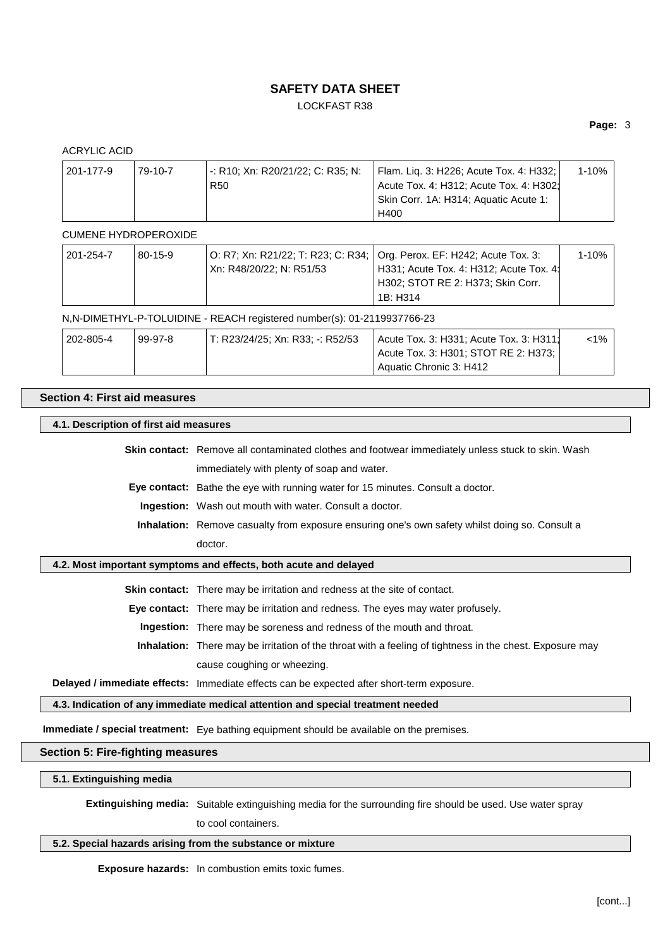LOCKFAST R38

## **Page:** 3

| <b>ACRYLIC ACID</b> |                      |                                                      |                                                                                                                                     |           |
|---------------------|----------------------|------------------------------------------------------|-------------------------------------------------------------------------------------------------------------------------------------|-----------|
| 201-177-9           | 79-10-7              | -: R10; Xn: R20/21/22; C: R35; N:<br>R <sub>50</sub> | Flam. Liq. 3: H226; Acute Tox. 4: H332;<br>Acute Tox. 4: H312; Acute Tox. 4: H302;<br>Skin Corr. 1A: H314; Aquatic Acute 1:<br>H400 | $1 - 10%$ |
|                     | CUMENE HYDROPEROXIDE |                                                      |                                                                                                                                     |           |

| 201-254-7 | $80 - 15 - 9$ |                          | O: R7; Xn: R21/22; T: R23; C: R34;   Org. Perox. EF: H242; Acute Tox. 3: | 1-10% |
|-----------|---------------|--------------------------|--------------------------------------------------------------------------|-------|
|           |               | Xn: R48/20/22; N: R51/53 | H331; Acute Tox. 4: H312; Acute Tox. 4:                                  |       |
|           |               |                          | <sup>1</sup> H302; STOT RE 2: H373; Skin Corr.                           |       |
|           |               |                          | 1B: H314                                                                 |       |

### N,N-DIMETHYL-P-TOLUIDINE - REACH registered number(s): 01-2119937766-23

| 202-805-4 | 99-97-8 | ' T: R23/24/25: Xn: R33: -: R52/53 | Acute Tox. 3: H331; Acute Tox. 3: H311; | $<$ 1% |
|-----------|---------|------------------------------------|-----------------------------------------|--------|
|           |         |                                    | Acute Tox. 3: H301; STOT RE 2: H373:    |        |
|           |         |                                    | Aquatic Chronic 3: H412                 |        |

## **Section 4: First aid measures**

## **4.1. Description of first aid measures**

| <b>Skin contact:</b> Remove all contaminated clothes and footwear immediately unless stuck to skin. Wash |
|----------------------------------------------------------------------------------------------------------|
| immediately with plenty of soap and water.                                                               |

**Eye contact:** Bathe the eye with running water for 15 minutes. Consult a doctor.

**Ingestion:** Wash out mouth with water. Consult a doctor.

**Inhalation:** Remove casualty from exposure ensuring one's own safety whilst doing so. Consult a doctor.

### **4.2. Most important symptoms and effects, both acute and delayed**

**Skin contact:** There may be irritation and redness at the site of contact.

**Eye contact:** There may be irritation and redness. The eyes may water profusely.

**Ingestion:** There may be soreness and redness of the mouth and throat.

**Inhalation:** There may be irritation of the throat with a feeling of tightness in the chest. Exposure may cause coughing or wheezing.

**Delayed / immediate effects:** Immediate effects can be expected after short-term exposure.

**4.3. Indication of any immediate medical attention and special treatment needed**

**Immediate / special treatment:** Eye bathing equipment should be available on the premises.

## **Section 5: Fire-fighting measures**

**5.1. Extinguishing media**

**Extinguishing media:** Suitable extinguishing media for the surrounding fire should be used. Use water spray

to cool containers.

## **5.2. Special hazards arising from the substance or mixture**

**Exposure hazards:** In combustion emits toxic fumes.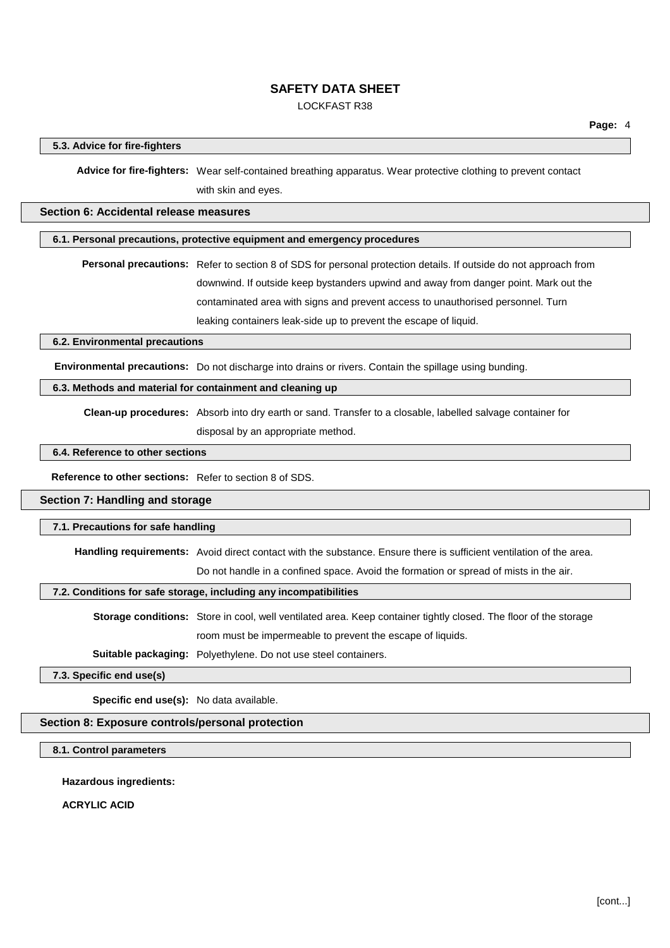## LOCKFAST R38

### **5.3. Advice for fire-fighters**

**Advice for fire-fighters:** Wear self-contained breathing apparatus. Wear protective clothing to prevent contact with skin and eyes.

### **Section 6: Accidental release measures**

### **6.1. Personal precautions, protective equipment and emergency procedures**

**Personal precautions:** Refer to section 8 of SDS for personal protection details. If outside do not approach from downwind. If outside keep bystanders upwind and away from danger point. Mark out the contaminated area with signs and prevent access to unauthorised personnel. Turn leaking containers leak-side up to prevent the escape of liquid.

### **6.2. Environmental precautions**

**Environmental precautions:** Do not discharge into drains or rivers. Contain the spillage using bunding.

## **6.3. Methods and material for containment and cleaning up**

**Clean-up procedures:** Absorb into dry earth or sand. Transfer to a closable, labelled salvage container for

disposal by an appropriate method.

## **6.4. Reference to other sections**

**Reference to other sections:** Refer to section 8 of SDS.

## **Section 7: Handling and storage**

#### **7.1. Precautions for safe handling**

**Handling requirements:** Avoid direct contact with the substance. Ensure there is sufficient ventilation of the area.

Do not handle in a confined space. Avoid the formation or spread of mists in the air.

### **7.2. Conditions for safe storage, including any incompatibilities**

**Storage conditions:** Store in cool, well ventilated area. Keep container tightly closed. The floor of the storage room must be impermeable to prevent the escape of liquids.

**Suitable packaging:** Polyethylene. Do not use steel containers.

**7.3. Specific end use(s)**

**Specific end use(s):** No data available.

#### **Section 8: Exposure controls/personal protection**

### **8.1. Control parameters**

**Hazardous ingredients:**

**ACRYLIC ACID**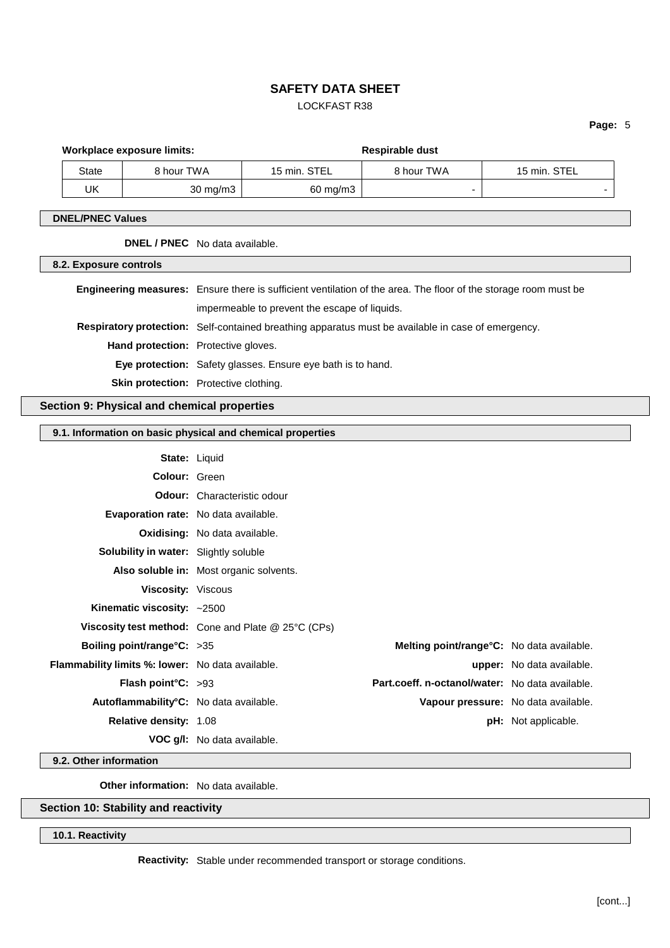## LOCKFAST R38

**Page:** 5

|                         | <b>Workplace exposure limits:</b>                |                                         |                                    | Respirable dust                                             |                                                                                                                 |                                     |  |
|-------------------------|--------------------------------------------------|-----------------------------------------|------------------------------------|-------------------------------------------------------------|-----------------------------------------------------------------------------------------------------------------|-------------------------------------|--|
|                         | <b>State</b>                                     | 8 hour TWA                              |                                    | 15 min. STEL                                                | 8 hour TWA                                                                                                      | 15 min. STEL                        |  |
|                         | <b>UK</b>                                        |                                         | 30 mg/m3                           | $60$ mg/m $3$                                               |                                                                                                                 |                                     |  |
| <b>DNEL/PNEC Values</b> |                                                  |                                         |                                    |                                                             |                                                                                                                 |                                     |  |
|                         | DNEL / PNEC No data available.                   |                                         |                                    |                                                             |                                                                                                                 |                                     |  |
|                         |                                                  |                                         |                                    |                                                             |                                                                                                                 |                                     |  |
|                         | 8.2. Exposure controls                           |                                         |                                    |                                                             |                                                                                                                 |                                     |  |
|                         |                                                  |                                         |                                    |                                                             | Engineering measures: Ensure there is sufficient ventilation of the area. The floor of the storage room must be |                                     |  |
|                         |                                                  |                                         |                                    | impermeable to prevent the escape of liquids.               |                                                                                                                 |                                     |  |
|                         |                                                  |                                         |                                    |                                                             | Respiratory protection: Self-contained breathing apparatus must be available in case of emergency.              |                                     |  |
|                         |                                                  | Hand protection: Protective gloves.     |                                    |                                                             |                                                                                                                 |                                     |  |
|                         |                                                  |                                         |                                    | Eye protection: Safety glasses. Ensure eye bath is to hand. |                                                                                                                 |                                     |  |
|                         |                                                  | Skin protection: Protective clothing.   |                                    |                                                             |                                                                                                                 |                                     |  |
|                         | Section 9: Physical and chemical properties      |                                         |                                    |                                                             |                                                                                                                 |                                     |  |
|                         |                                                  |                                         |                                    |                                                             |                                                                                                                 |                                     |  |
|                         |                                                  |                                         |                                    | 9.1. Information on basic physical and chemical properties  |                                                                                                                 |                                     |  |
|                         |                                                  | State: Liquid                           |                                    |                                                             |                                                                                                                 |                                     |  |
|                         |                                                  | Colour: Green                           |                                    |                                                             |                                                                                                                 |                                     |  |
|                         |                                                  |                                         | <b>Odour:</b> Characteristic odour |                                                             |                                                                                                                 |                                     |  |
|                         |                                                  |                                         |                                    | Evaporation rate: No data available.                        |                                                                                                                 |                                     |  |
|                         |                                                  | <b>Oxidising:</b> No data available.    |                                    |                                                             |                                                                                                                 |                                     |  |
|                         |                                                  | Solubility in water: Slightly soluble   |                                    |                                                             |                                                                                                                 |                                     |  |
|                         |                                                  | Also soluble in: Most organic solvents. |                                    |                                                             |                                                                                                                 |                                     |  |
|                         |                                                  | <b>Viscosity: Viscous</b>               |                                    |                                                             |                                                                                                                 |                                     |  |
|                         |                                                  | Kinematic viscosity: ~2500              |                                    |                                                             |                                                                                                                 |                                     |  |
|                         |                                                  |                                         |                                    | Viscosity test method: Cone and Plate @ 25°C (CPs)          |                                                                                                                 |                                     |  |
|                         |                                                  | Boiling point/range°C: >35              |                                    |                                                             | Melting point/range°C: No data available.                                                                       |                                     |  |
|                         | Flammability limits %: lower: No data available. |                                         |                                    |                                                             |                                                                                                                 | upper: No data available.           |  |
|                         |                                                  | Flash point°C: >93                      |                                    |                                                             | Part.coeff. n-octanol/water: No data available.                                                                 |                                     |  |
|                         |                                                  | Autoflammability°C: No data available.  |                                    |                                                             |                                                                                                                 | Vapour pressure: No data available. |  |
|                         |                                                  | Relative density: 1.08                  |                                    |                                                             |                                                                                                                 | pH: Not applicable.                 |  |
|                         |                                                  |                                         | VOC g/l: No data available.        |                                                             |                                                                                                                 |                                     |  |
|                         | 9.2. Other information                           |                                         |                                    |                                                             |                                                                                                                 |                                     |  |

**Other information:** No data available.

# **Section 10: Stability and reactivity**

**10.1. Reactivity**

**Reactivity:** Stable under recommended transport or storage conditions.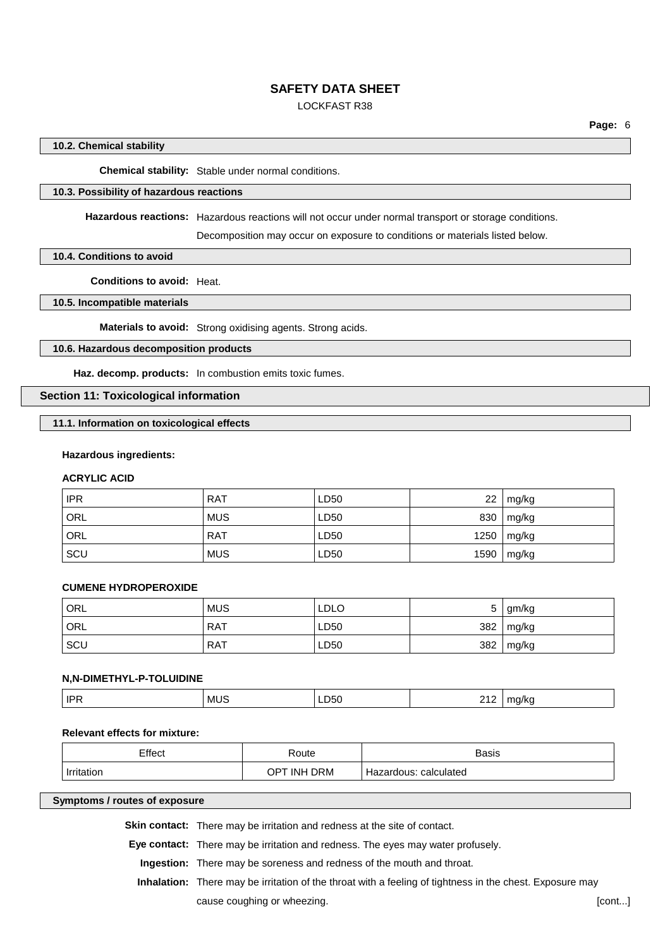## LOCKFAST R38

### **10.2. Chemical stability**

**Chemical stability:** Stable under normal conditions.

### **10.3. Possibility of hazardous reactions**

**Hazardous reactions:** Hazardous reactions will not occur under normal transport or storage conditions.

Decomposition may occur on exposure to conditions or materials listed below.

### **10.4. Conditions to avoid**

**Conditions to avoid:** Heat.

### **10.5. Incompatible materials**

**Materials to avoid:** Strong oxidising agents. Strong acids.

## **10.6. Hazardous decomposition products**

**Haz. decomp. products:** In combustion emits toxic fumes.

## **Section 11: Toxicological information**

### **11.1. Information on toxicological effects**

#### **Hazardous ingredients:**

## **ACRYLIC ACID**

| <b>IPR</b> | <b>RAT</b> | LD50 | 22   | mg/kg |
|------------|------------|------|------|-------|
| ORL        | <b>MUS</b> | LD50 | 830  | mg/kg |
| ORL        | <b>RAT</b> | LD50 | 1250 | mg/kg |
| SCU        | <b>MUS</b> | LD50 | 1590 | mg/kg |

### **CUMENE HYDROPEROXIDE**

| <sup>I</sup> ORL | <b>MUS</b> | LDLO | ∽<br>ັ | gm/kg |
|------------------|------------|------|--------|-------|
| ORL              | <b>RAT</b> | LD50 | 382    | mg/kg |
| SCU              | <b>RAT</b> | LD50 | 382    | mg/kg |

#### **N,N-DIMETHYL-P-TOLUIDINE**

| <b>IPR</b><br>. . | . MUS<br>__ | ∟ບບ<br>$ -$ | $\sim$ $\sim$<br>י י<br>$ -$ | . . |
|-------------------|-------------|-------------|------------------------------|-----|
|                   |             |             |                              |     |

### **Relevant effects for mixture:**

| Effect     | Route                 | <b>Basis</b>          |
|------------|-----------------------|-----------------------|
| Irritation | <b>DRM</b><br>OPT INH | Hazardous: calculated |

#### **Symptoms / routes of exposure**

**Skin contact:** There may be irritation and redness at the site of contact.

**Eye contact:** There may be irritation and redness. The eyes may water profusely.

**Ingestion:** There may be soreness and redness of the mouth and throat.

**Inhalation:** There may be irritation of the throat with a feeling of tightness in the chest. Exposure may cause coughing or wheezing. **Example 20** is a cause coughing or wheezing.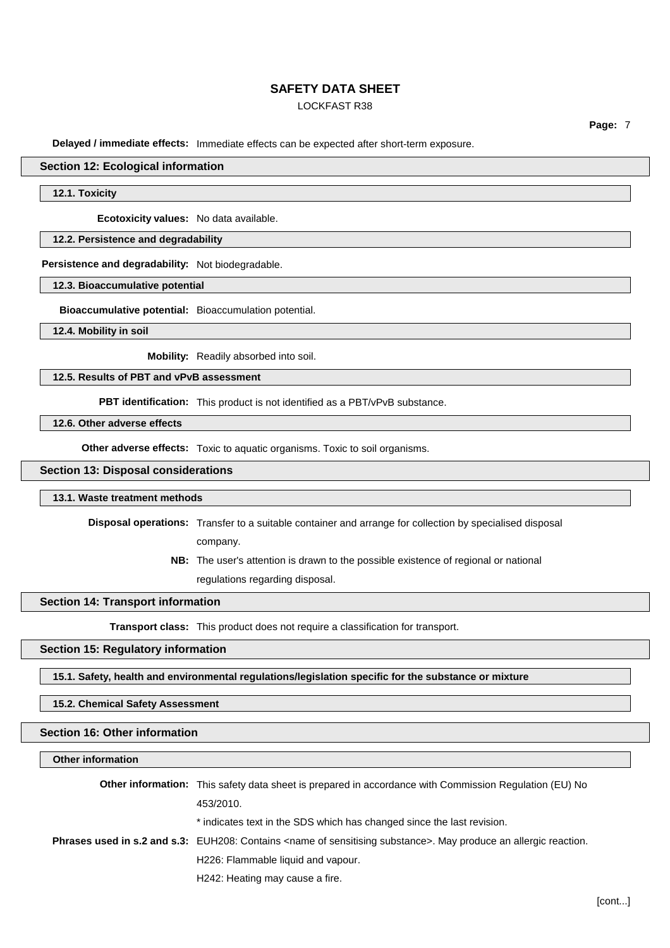## LOCKFAST R38

**Page:** 7

**Delayed / immediate effects:** Immediate effects can be expected after short-term exposure.

### **Section 12: Ecological information**

### **12.1. Toxicity**

**Ecotoxicity values:** No data available.

### **12.2. Persistence and degradability**

**Persistence and degradability:** Not biodegradable.

### **12.3. Bioaccumulative potential**

**Bioaccumulative potential:** Bioaccumulation potential.

**12.4. Mobility in soil**

**Mobility:** Readily absorbed into soil.

**12.5. Results of PBT and vPvB assessment**

**PBT identification:** This product is not identified as a PBT/vPvB substance.

**12.6. Other adverse effects**

**Other adverse effects:** Toxic to aquatic organisms. Toxic to soil organisms.

### **Section 13: Disposal considerations**

#### **13.1. Waste treatment methods**

**Disposal operations:** Transfer to a suitable container and arrange for collection by specialised disposal company.

> **NB:** The user's attention is drawn to the possible existence of regional or national regulations regarding disposal.

### **Section 14: Transport information**

**Transport class:** This product does not require a classification for transport.

### **Section 15: Regulatory information**

**15.1. Safety, health and environmental regulations/legislation specific for the substance or mixture**

**15.2. Chemical Safety Assessment**

## **Section 16: Other information**

## **Other information**

| <b>Other information:</b> This safety data sheet is prepared in accordance with Commission Regulation (EU) No                    |
|----------------------------------------------------------------------------------------------------------------------------------|
| 453/2010.                                                                                                                        |
| * indicates text in the SDS which has changed since the last revision.                                                           |
| Phrases used in s.2 and s.3: EUH208: Contains <name of="" sensitising="" substance="">. May produce an allergic reaction.</name> |
| H226: Flammable liquid and vapour.                                                                                               |
| H242: Heating may cause a fire.                                                                                                  |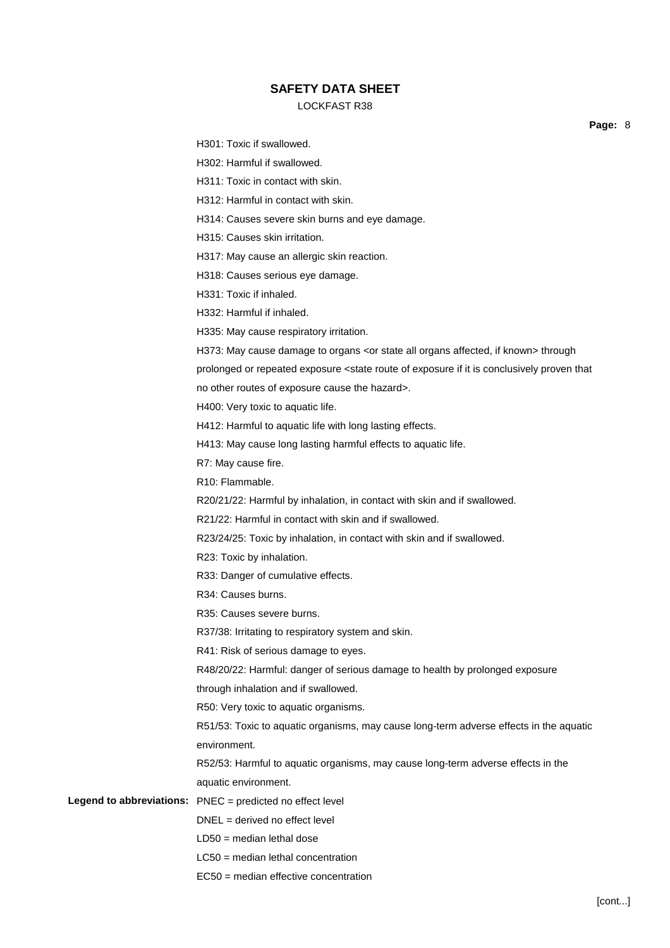## LOCKFAST R38

**Page:** 8

| H301: Toxic if swallowed.                                                                                                            |
|--------------------------------------------------------------------------------------------------------------------------------------|
| H302: Harmful if swallowed.                                                                                                          |
| H311: Toxic in contact with skin.                                                                                                    |
| H312: Harmful in contact with skin.                                                                                                  |
| H314: Causes severe skin burns and eye damage.                                                                                       |
| H315: Causes skin irritation.                                                                                                        |
| H317: May cause an allergic skin reaction.                                                                                           |
| H318: Causes serious eye damage.                                                                                                     |
| H331: Toxic if inhaled.                                                                                                              |
| H332: Harmful if inhaled.                                                                                                            |
| H335: May cause respiratory irritation.                                                                                              |
| H373: May cause damage to organs <or affected,="" all="" if="" known="" organs="" state=""> through</or>                             |
| prolonged or repeated exposure <state conclusively="" exposure="" if="" is="" it="" of="" proven="" route="" th="" that<=""></state> |
| no other routes of exposure cause the hazard>.                                                                                       |
| H400: Very toxic to aquatic life.                                                                                                    |
| H412: Harmful to aquatic life with long lasting effects.                                                                             |
| H413: May cause long lasting harmful effects to aquatic life.                                                                        |
| R7: May cause fire.                                                                                                                  |
| R10: Flammable.                                                                                                                      |
| R20/21/22: Harmful by inhalation, in contact with skin and if swallowed.                                                             |
| R21/22: Harmful in contact with skin and if swallowed.                                                                               |
| R23/24/25: Toxic by inhalation, in contact with skin and if swallowed.                                                               |
| R23: Toxic by inhalation.                                                                                                            |
| R33: Danger of cumulative effects.                                                                                                   |
| R34: Causes burns.                                                                                                                   |
| R35: Causes severe burns.                                                                                                            |
| R37/38: Irritating to respiratory system and skin.                                                                                   |
| R41: Risk of serious damage to eyes.                                                                                                 |
| R48/20/22: Harmful: danger of serious damage to health by prolonged exposure                                                         |
| through inhalation and if swallowed.                                                                                                 |
| R50: Very toxic to aquatic organisms.                                                                                                |
| R51/53: Toxic to aquatic organisms, may cause long-term adverse effects in the aquatic                                               |
| environment.                                                                                                                         |
| R52/53: Harmful to aquatic organisms, may cause long-term adverse effects in the                                                     |
| aquatic environment.                                                                                                                 |
| Legend to abbreviations: PNEC = predicted no effect level                                                                            |
| $DNEL = derived no effect level$                                                                                                     |
| $LD50 = median$ lethal dose                                                                                                          |
| $LC50$ = median lethal concentration                                                                                                 |
| EC50 = median effective concentration                                                                                                |